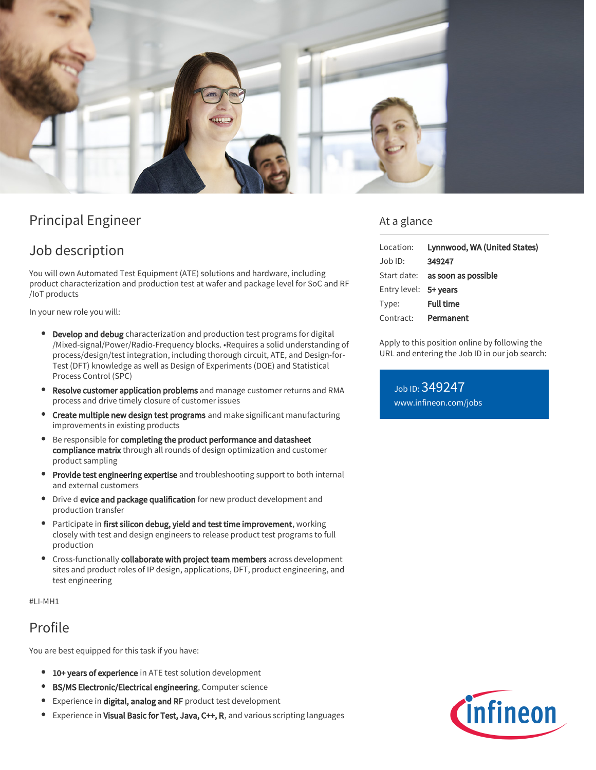

# Principal Engineer

# Job description

You will own Automated Test Equipment (ATE) solutions and hardware, including product characterization and production test at wafer and package level for SoC and RF /IoT products

In your new role you will:

- Develop and debug characterization and production test programs for digital /Mixed-signal/Power/Radio-Frequency blocks. •Requires a solid understanding of process/design/test integration, including thorough circuit, ATE, and Design-for-Test (DFT) knowledge as well as Design of Experiments (DOE) and Statistical Process Control (SPC)
- Resolve customer application problems and manage customer returns and RMA process and drive timely closure of customer issues
- **Create multiple new design test programs** and make significant manufacturing improvements in existing products
- Be responsible for completing the product performance and datasheet compliance matrix through all rounds of design optimization and customer product sampling
- **Provide test engineering expertise** and troubleshooting support to both internal and external customers
- **•** Drive d evice and package qualification for new product development and production transfer
- Participate in first silicon debug, yield and test time improvement, working closely with test and design engineers to release product test programs to full production
- Cross-functionally collaborate with project team members across development sites and product roles of IP design, applications, DFT, product engineering, and test engineering

#LI-MH1

## Profile

You are best equipped for this task if you have:

- **10+ years of experience** in ATE test solution development
- BS/MS Electronic/Electrical engineering, Computer science
- **Experience in digital, analog and RF** product test development
- Experience in Visual Basic for Test, Java, C++, R, and various scripting languages  $\bullet$

### At a glance

|                       | Location: Lynnwood, WA (United States) |
|-----------------------|----------------------------------------|
| Job ID:               | 349247                                 |
|                       | Start date: <b>as soon as possible</b> |
| Entry level: 5+ years |                                        |
| Type:                 | <b>Full time</b>                       |
|                       | Contract: Permanent                    |

Apply to this position online by following the URL and entering the Job ID in our job search:

Job ID: 349247 [www.infineon.com/jobs](https://www.infineon.com/jobs)